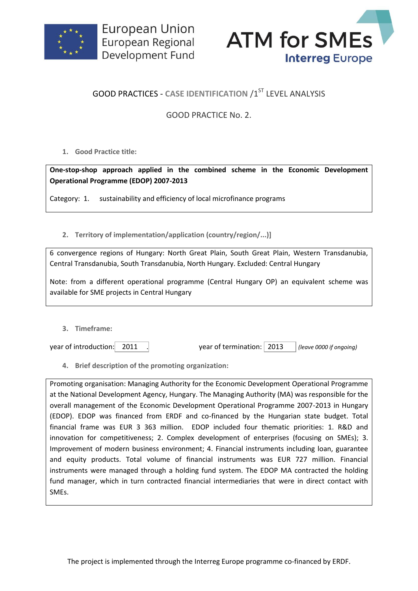



## **GOOD PRACTICES - CASE IDENTIFICATION /1ST LEVEL ANALYSIS**

## GOOD PRACTICE No. 2.

## **1. Good Practice title:**

**One-stop-shop approach applied in the combined scheme in the Economic Development Operational Programme (EDOP) 2007-2013**

Category: 1. sustainability and efficiency of local microfinance programs

## **2. Territory of implementation/application (country/region/...)]**

6 convergence regions of Hungary: North Great Plain, South Great Plain, Western Transdanubia, Central Transdanubia, South Transdanubia, North Hungary. Excluded: Central Hungary

Note: from a different operational programme (Central Hungary OP) an equivalent scheme was available for SME projects in Central Hungary

**3. Timeframe:**

year of introduction: 2011 . year of termination: 2013 *(leave 0000 if ongoing)* 

**4. Brief description of the promoting organization:**

Promoting organisation: Managing Authority for the Economic Development Operational Programme at the National Development Agency, Hungary. The Managing Authority (MA) was responsible for the overall management of the Economic Development Operational Programme 2007-2013 in Hungary (EDOP). EDOP was financed from ERDF and co-financed by the Hungarian state budget. Total financial frame was EUR 3 363 million. EDOP included four thematic priorities: 1. R&D and innovation for competitiveness; 2. Complex development of enterprises (focusing on SMEs); 3. Improvement of modern business environment; 4. Financial instruments including loan, guarantee and equity products. Total volume of financial instruments was EUR 727 million. Financial instruments were managed through a holding fund system. The EDOP MA contracted the holding fund manager, which in turn contracted financial intermediaries that were in direct contact with SMEs.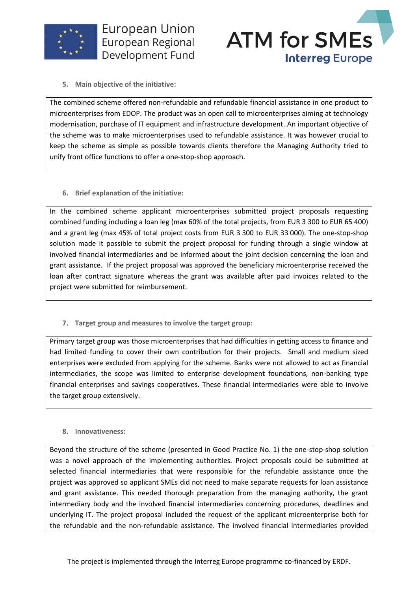



**5. Main objective of the initiative:**

The combined scheme offered non-refundable and refundable financial assistance in one product to microenterprises from EDOP. The product was an open call to microenterprises aiming at technology modernisation, purchase of IT equipment and infrastructure development. An important objective of the scheme was to make microenterprises used to refundable assistance. It was however crucial to keep the scheme as simple as possible towards clients therefore the Managing Authority tried to unify front office functions to offer a one-stop-shop approach.

**6. Brief explanation of the initiative:**

In the combined scheme applicant microenterprises submitted project proposals requesting combined funding including a loan leg (max 60% of the total projects, from EUR 3 300 to EUR 65 400) and a grant leg (max 45% of total project costs from EUR 3 300 to EUR 33 000). The one-stop-shop solution made it possible to submit the project proposal for funding through a single window at involved financial intermediaries and be informed about the joint decision concerning the loan and grant assistance. If the project proposal was approved the beneficiary microenterprise received the loan after contract signature whereas the grant was available after paid invoices related to the project were submitted for reimbursement.

**7. Target group and measures to involve the target group:**

Primary target group was those microenterprises that had difficulties in getting access to finance and had limited funding to cover their own contribution for their projects. Small and medium sized enterprises were excluded from applying for the scheme. Banks were not allowed to act as financial intermediaries, the scope was limited to enterprise development foundations, non-banking type financial enterprises and savings cooperatives. These financial intermediaries were able to involve the target group extensively.

**8. Innovativeness:**

Beyond the structure of the scheme (presented in Good Practice No. 1) the one-stop-shop solution was a novel approach of the implementing authorities. Project proposals could be submitted at selected financial intermediaries that were responsible for the refundable assistance once the project was approved so applicant SMEs did not need to make separate requests for loan assistance and grant assistance. This needed thorough preparation from the managing authority, the grant intermediary body and the involved financial intermediaries concerning procedures, deadlines and underlying IT. The project proposal included the request of the applicant microenterprise both for the refundable and the non-refundable assistance. The involved financial intermediaries provided